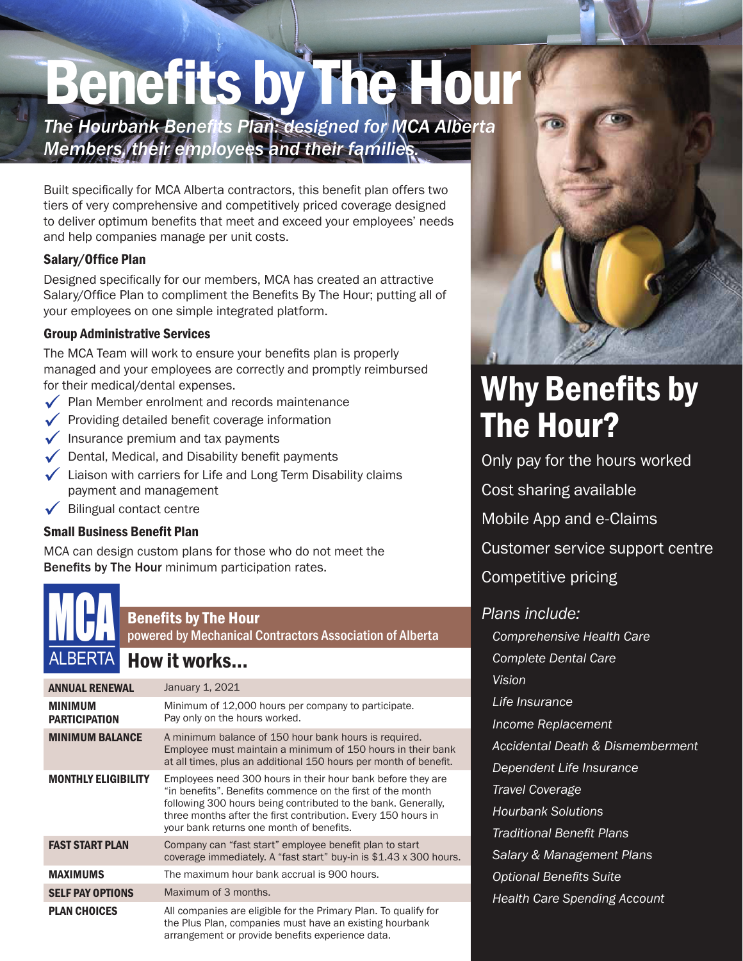# Benefits by The Hour

*The Hourbank Benefits Plan: designed for MCA Alberta Members, their employees and their families.*

Built specifically for MCA Alberta contractors, this benefit plan offers two tiers of very comprehensive and competitively priced coverage designed to deliver optimum benefits that meet and exceed your employees' needs and help companies manage per unit costs.

### Salary/Office Plan

Designed specifically for our members, MCA has created an attractive Salary/Office Plan to compliment the Benefits By The Hour; putting all of your employees on one simple integrated platform.

### Group Administrative Services

The MCA Team will work to ensure your benefits plan is properly managed and your employees are correctly and promptly reimbursed for their medical/dental expenses.

- $\sqrt{\phantom{a}}$  Plan Member enrolment and records maintenance
- $\checkmark$  Providing detailed benefit coverage information
- $\sqrt{\ }$  Insurance premium and tax payments
- $\sqrt{\phantom{a}}$  Dental, Medical, and Disability benefit payments
- $\checkmark$  Liaison with carriers for Life and Long Term Disability claims payment and management
- Bilingual contact centre

### Small Business Benefit Plan

MCA can design custom plans for those who do not meet the Benefits by The Hour minimum participation rates.

### Benefits by The Hour

powered by Mechanical Contractors Association of Alberta

## How it works...

| <b>ANNUAL RENEWAL</b>                  | January 1, 2021                                                                                                                                                                                                                                                                                         |
|----------------------------------------|---------------------------------------------------------------------------------------------------------------------------------------------------------------------------------------------------------------------------------------------------------------------------------------------------------|
| <b>MINIMUM</b><br><b>PARTICIPATION</b> | Minimum of 12,000 hours per company to participate.<br>Pay only on the hours worked.                                                                                                                                                                                                                    |
| <b>MINIMUM BALANCE</b>                 | A minimum balance of 150 hour bank hours is required.<br>Employee must maintain a minimum of 150 hours in their bank<br>at all times, plus an additional 150 hours per month of benefit.                                                                                                                |
| <b>MONTHLY ELIGIBILITY</b>             | Employees need 300 hours in their hour bank before they are<br>"in benefits". Benefits commence on the first of the month<br>following 300 hours being contributed to the bank. Generally,<br>three months after the first contribution. Every 150 hours in<br>your bank returns one month of benefits. |
| <b>FAST START PLAN</b>                 | Company can "fast start" employee benefit plan to start<br>coverage immediately. A "fast start" buy-in is \$1.43 x 300 hours.                                                                                                                                                                           |
| <b>MAXIMUMS</b>                        | The maximum hour bank accrual is 900 hours.                                                                                                                                                                                                                                                             |
| <b>SELF PAY OPTIONS</b>                | Maximum of 3 months.                                                                                                                                                                                                                                                                                    |
| <b>PLAN CHOICES</b>                    | All companies are eligible for the Primary Plan. To qualify for<br>the Plus Plan, companies must have an existing hourbank<br>arrangement or provide benefits experience data.                                                                                                                          |



# Why Benefits by The Hour?

Only pay for the hours worked

Cost sharing available

Mobile App and e-Claims

Customer service support centre

Competitive pricing

### *Plans include:*

*Comprehensive Health Care Complete Dental Care Vision Life Insurance Income Replacement Accidental Death & Dismemberment Dependent Life Insurance Travel Coverage Hourbank Solutions Traditional Benefit Plans Salary & Management Plans Optional Benefits Suite*

*Health Care Spending Account*